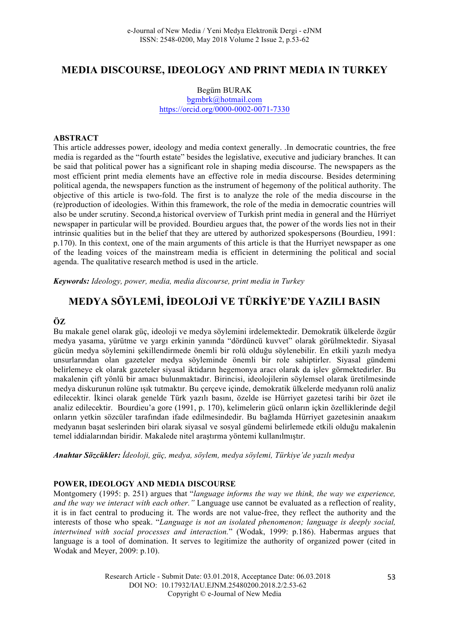# **MEDIA DISCOURSE, IDEOLOGY AND PRINT MEDIA IN TURKEY**

Begüm BURAK bgmbrk@hotmail.com https://orcid.org/0000-0002-0071-7330

#### **ABSTRACT**

This article addresses power, ideology and media context generally. .In democratic countries, the free media is regarded as the "fourth estate" besides the legislative, executive and judiciary branches. It can be said that political power has a significant role in shaping media discourse. The newspapers as the most efficient print media elements have an effective role in media discourse. Besides determining political agenda, the newspapers function as the instrument of hegemony of the political authority. The objective of this article is two-fold. The first is to analyze the role of the media discourse in the (re)production of ideologies. Within this framework, the role of the media in democratic countries will also be under scrutiny. Second,a historical overview of Turkish print media in general and the Hürriyet newspaper in particular will be provided. Bourdieu argues that, the power of the words lies not in their intrinsic qualities but in the belief that they are uttered by authorized spokespersons (Bourdieu, 1991: p.170). In this context, one of the main arguments of this article is that the Hurriyet newspaper as one of the leading voices of the mainstream media is efficient in determining the political and social agenda. The qualitative research method is used in the article.

*Keywords: Ideology, power, media, media discourse, print media in Turkey*

# **MEDYA SÖYLEMİ, İDEOLOJİ VE TÜRKİYE'DE YAZILI BASIN**

#### **ÖZ**

Bu makale genel olarak güç, ideoloji ve medya söylemini irdelemektedir. Demokratik ülkelerde özgür medya yasama, yürütme ve yargı erkinin yanında "dördüncü kuvvet" olarak görülmektedir. Siyasal gücün medya söylemini şekillendirmede önemli bir rolü olduğu söylenebilir. En etkili yazılı medya unsurlarından olan gazeteler medya söyleminde önemli bir role sahiptirler. Siyasal gündemi belirlemeye ek olarak gazeteler siyasal iktidarın hegemonya aracı olarak da işlev görmektedirler. Bu makalenin çift yönlü bir amacı bulunmaktadır. Birincisi, ideolojilerin söylemsel olarak üretilmesinde medya diskurunun rolüne ışık tutmaktır. Bu çerçeve içinde, demokratik ülkelerde medyanın rolü analiz edilecektir. İkinci olarak genelde Türk yazılı basını, özelde ise Hürriyet gazetesi tarihi bir özet ile analiz edilecektir. Bourdieu'a gore (1991, p. 170), kelimelerin gücü onların içkin özelliklerinde değil onların yetkin sözcüler tarafından ifade edilmesindedir. Bu bağlamda Hürriyet gazetesinin anaakım medyanın başat seslerinden biri olarak siyasal ve sosyal gündemi belirlemede etkili olduğu makalenin temel iddialarından biridir. Makalede nitel araştırma yöntemi kullanılmıştır.

*Anahtar Sözcükler: İdeoloji, güç, medya, söylem, medya söylemi, Türkiye'de yazılı medya*

#### **POWER, IDEOLOGY AND MEDIA DISCOURSE**

Montgomery (1995: p. 251) argues that "*language informs the way we think, the way we experience, and the way we interact with each other."* Language use cannot be evaluated as a reflection of reality, it is in fact central to producing it. The words are not value-free, they reflect the authority and the interests of those who speak. "*Language is not an isolated phenomenon; language is deeply social, intertwined with social processes and interaction.*" (Wodak, 1999: p.186). Habermas argues that language is a tool of domination. It serves to legitimize the authority of organized power (cited in Wodak and Meyer, 2009: p.10).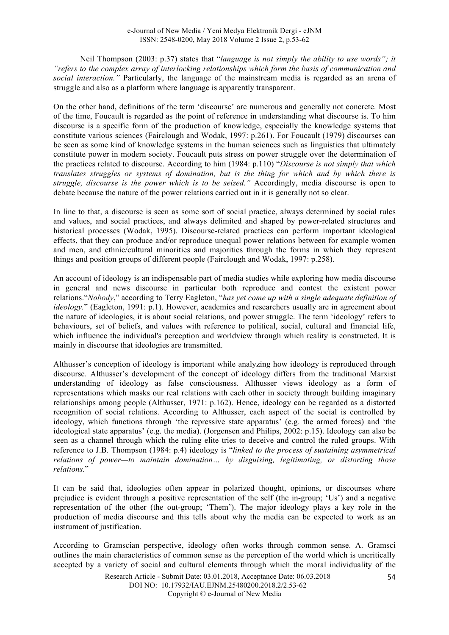Neil Thompson (2003: p.37) states that "*language is not simply the ability to use words"; it "refers to the complex array of interlocking relationships which form the basis of communication and social interaction."* Particularly, the language of the mainstream media is regarded as an arena of struggle and also as a platform where language is apparently transparent.

On the other hand, definitions of the term 'discourse' are numerous and generally not concrete. Most of the time, Foucault is regarded as the point of reference in understanding what discourse is. To him discourse is a specific form of the production of knowledge, especially the knowledge systems that constitute various sciences (Fairclough and Wodak, 1997: p.261). For Foucault (1979) discourses can be seen as some kind of knowledge systems in the human sciences such as linguistics that ultimately constitute power in modern society. Foucault puts stress on power struggle over the determination of the practices related to discourse. According to him (1984: p.110) "*Discourse is not simply that which translates struggles or systems of domination, but is the thing for which and by which there is struggle, discourse is the power which is to be seized."* Accordingly, media discourse is open to debate because the nature of the power relations carried out in it is generally not so clear.

In line to that, a discourse is seen as some sort of social practice, always determined by social rules and values, and social practices, and always delimited and shaped by power-related structures and historical processes (Wodak, 1995). Discourse-related practices can perform important ideological effects, that they can produce and/or reproduce unequal power relations between for example women and men, and ethnic/cultural minorities and majorities through the forms in which they represent things and position groups of different people (Fairclough and Wodak, 1997: p.258).

An account of ideology is an indispensable part of media studies while exploring how media discourse in general and news discourse in particular both reproduce and contest the existent power relations."*Nobody*," according to Terry Eagleton, "*has yet come up with a single adequate definition of ideology.*" (Eagleton, 1991: p.1). However, academics and researchers usually are in agreement about the nature of ideologies, it is about social relations, and power struggle. The term 'ideology' refers to behaviours, set of beliefs, and values with reference to political, social, cultural and financial life, which influence the individual's perception and worldview through which reality is constructed. It is mainly in discourse that ideologies are transmitted.

Althusser's conception of ideology is important while analyzing how ideology is reproduced through discourse. Althusser's development of the concept of ideology differs from the traditional Marxist understanding of ideology as false consciousness. Althusser views ideology as a form of representations which masks our real relations with each other in society through building imaginary relationships among people (Althusser, 1971: p.162). Hence, ideology can be regarded as a distorted recognition of social relations. According to Althusser, each aspect of the social is controlled by ideology, which functions through 'the repressive state apparatus' (e.g. the armed forces) and 'the ideological state apparatus' (e.g. the media). (Jorgensen and Philips, 2002: p.15). Ideology can also be seen as a channel through which the ruling elite tries to deceive and control the ruled groups. With reference to J.B. Thompson (1984: p.4) ideology is "*linked to the process of sustaining asymmetrical relations of power—to maintain domination… by disguising, legitimating, or distorting those relations.*"

It can be said that, ideologies often appear in polarized thought, opinions, or discourses where prejudice is evident through a positive representation of the self (the in-group; 'Us') and a negative representation of the other (the out-group; 'Them'). The major ideology plays a key role in the production of media discourse and this tells about why the media can be expected to work as an instrument of justification.

According to Gramscian perspective, ideology often works through common sense. A. Gramsci outlines the main characteristics of common sense as the perception of the world which is uncritically accepted by a variety of social and cultural elements through which the moral individuality of the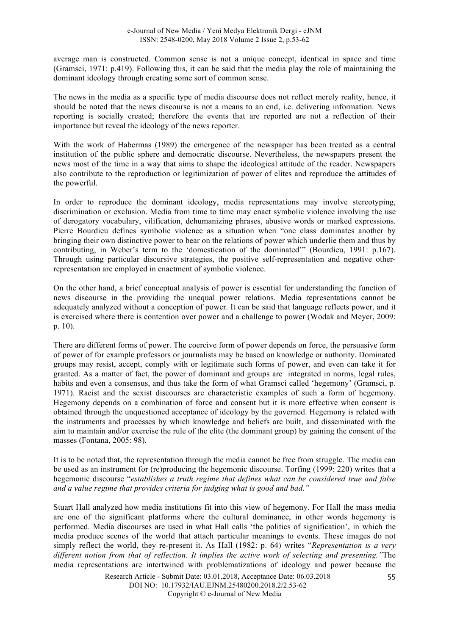average man is constructed. Common sense is not a unique concept, identical in space and time (Gramsci, 1971: p.419). Following this, it can be said that the media play the role of maintaining the dominant ideology through creating some sort of common sense.

The news in the media as a specific type of media discourse does not reflect merely reality, hence, it should be noted that the news discourse is not a means to an end, i.e. delivering information. News reporting is socially created; therefore the events that are reported are not a reflection of their importance but reveal the ideology of the news reporter.

With the work of Habermas (1989) the emergence of the newspaper has been treated as a central institution of the public sphere and democratic discourse. Nevertheless, the newspapers present the news most of the time in a way that aims to shape the ideological attitude of the reader. Newspapers also contribute to the reproduction or legitimization of power of elites and reproduce the attitudes of the powerful.

In order to reproduce the dominant ideology, media representations may involve stereotyping, discrimination or exclusion. Media from time to time may enact symbolic violence involving the use of derogatory vocabulary, vilification, dehumanizing phrases, abusive words or marked expressions. Pierre Bourdieu defines symbolic violence as a situation when "one class dominates another by bringing their own distinctive power to bear on the relations of power which underlie them and thus by contributing, in Weber's term to the 'domestication of the dominated'" (Bourdieu, 1991: p.167). Through using particular discursive strategies, the positive self-representation and negative otherrepresentation are employed in enactment of symbolic violence.

On the other hand, a brief conceptual analysis of power is essential for understanding the function of news discourse in the providing the unequal power relations. Media representations cannot be adequately analyzed without a conception of power. It can be said that language reflects power, and it is exercised where there is contention over power and a challenge to power (Wodak and Meyer, 2009: p. 10).

There are different forms of power. The coercive form of power depends on force, the persuasive form of power of for example professors or journalists may be based on knowledge or authority. Dominated groups may resist, accept, comply with or legitimate such forms of power, and even can take it for granted. As a matter of fact, the power of dominant and groups are integrated in norms, legal rules, habits and even a consensus, and thus take the form of what Gramsci called 'hegemony' (Gramsci, p. 1971). Racist and the sexist discourses are characteristic examples of such a form of hegemony. Hegemony depends on a combination of force and consent but it is more effective when consent is obtained through the unquestioned acceptance of ideology by the governed. Hegemony is related with the instruments and processes by which knowledge and beliefs are built, and disseminated with the aim to maintain and/or exercise the rule of the elite (the dominant group) by gaining the consent of the masses (Fontana, 2005: 98).

It is to be noted that, the representation through the media cannot be free from struggle. The media can be used as an instrument for (re)producing the hegemonic discourse. Torfing (1999: 220) writes that a hegemonic discourse "*establishes a truth regime that defines what can be considered true and false and a value regime that provides criteria for judging what is good and bad."*

Stuart Hall analyzed how media institutions fit into this view of hegemony. For Hall the mass media are one of the significant platforms where the cultural dominance, in other words hegemony is performed. Media discourses are used in what Hall calls 'the politics of signification', in which the media produce scenes of the world that attach particular meanings to events. These images do not simply reflect the world, they re-present it. As Hall (1982: p. 64) writes "*Representation is a very different notion from that of reflection. It implies the active work of selecting and presenting."*The media representations are intertwined with problematizations of ideology and power because the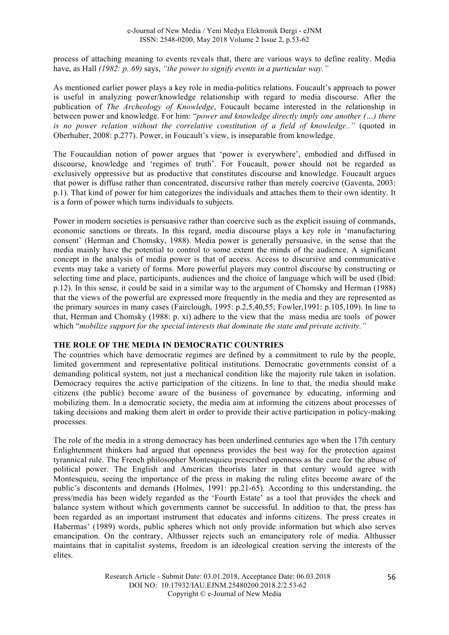process of attaching meaning to events reveals that, there are various ways to define reality. Media have, as Hall *(1982: p. 69)* says, *"the power to signify events in a particular way."*

As mentioned earlier power plays a key role in media-politics relations. Foucault's approach to power is useful in analyzing power/knowledge relationship with regard to media discourse. After the publication of *The Archeology of Knowledge*, Foucault became interested in the relationship in between power and knowledge. For him: "*power and knowledge directly imply one another (…) there is no power relation without the correlative constitution of a field of knowledge.."* (quoted in Oberhuber, 2008: p.277). Power, in Foucault's view, is inseparable from knowledge.

The Foucauldian notion of power argues that 'power is everywhere', embodied and diffused in discourse, knowledge and 'regimes of truth'. For Foucault, power should not be regarded as exclusively oppressive but as productive that constitutes discourse and knowledge. Foucault argues that power is diffuse rather than concentrated, discursive rather than merely coercive (Gaventa, 2003: p.1). That kind of power for him categorizes the individuals and attaches them to their own identity. It is a form of power which turns individuals to subjects.

Power in modern societies is persuasive rather than coercive such as the explicit issuing of commands, economic sanctions or threats. In this regard, media discourse plays a key role in 'manufacturing consent' (Herman and Chomsky, 1988). Media power is generally persuasive, in the sense that the media mainly have the potential to control to some extent the minds of the audience. A significant concept in the analysis of media power is that of access. Access to discursive and communicative events may take a variety of forms. More powerful players may control discourse by constructing or selecting time and place, participants, audiences and the choice of language which will be used (Ibid: p.12). In this sense, it could be said in a similar way to the argument of Chomsky and Herman (1988) that the views of the powerful are expressed more frequently in the media and they are represented as the primary sources in many cases (Fairclough, 1995: p.2,5,40,55; Fowler,1991: p.105,109). In line to that, Herman and Chomsky (1988: p. xi) adhere to the view that the mass media are tools of power which "*mobilize support for the special interests that dominate the state and private activity."*

#### **THE ROLE OF THE MEDIA IN DEMOCRATIC COUNTRIES**

The countries which have democratic regimes are defined by a commitment to rule by the people, limited government and representative political institutions. Democratic governments consist of a demanding political system, not just a mechanical condition like the majority rule taken in isolation. Democracy requires the active participation of the citizens. In line to that, the media should make citizens (the public) become aware of the business of governance by educating, informing and mobilizing them. In a democratic society, the media aim at informing the citizens about processes of taking decisions and making them alert in order to provide their active participation in policy-making processes.

The role of the media in a strong democracy has been underlined centuries ago when the 17th century Enlightenment thinkers had argued that openness provides the best way for the protection against tyrannical rule. The French philosopher Montesquieu prescribed openness as the cure for the abuse of political power. The English and American theorists later in that century would agree with Montesquieu, seeing the importance of the press in making the ruling elites become aware of the public's discontents and demands (Holmes, 1991: pp.21-65). According to this understanding, the press/media has been widely regarded as the 'Fourth Estate' as a tool that provides the check and balance system without which governments cannot be successful. In addition to that, the press has been regarded as an important instrument that educates and informs citizens. The press creates in Habermas' (1989) words, public spheres which not only provide information but which also serves emancipation. On the contrary, Althusser rejects such an emancipatory role of media. Althusser maintains that in capitalist systems, freedom is an ideological creation serving the interests of the elites.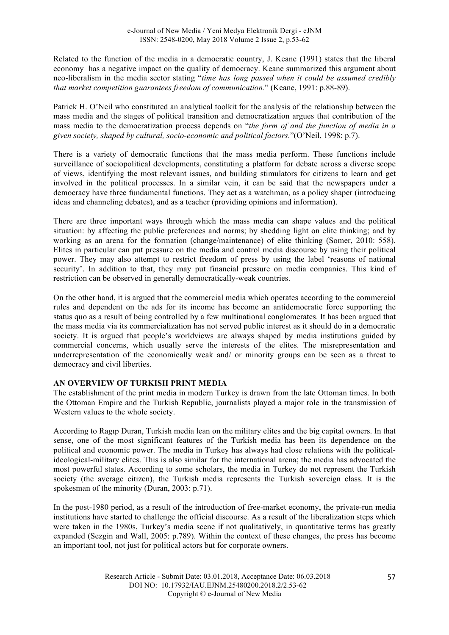Related to the function of the media in a democratic country, J. Keane (1991) states that the liberal economy has a negative impact on the quality of democracy. Keane summarized this argument about neo-liberalism in the media sector stating "*time has long passed when it could be assumed credibly that market competition guarantees freedom of communication.*" (Keane, 1991: p.88-89).

Patrick H. O'Neil who constituted an analytical toolkit for the analysis of the relationship between the mass media and the stages of political transition and democratization argues that contribution of the mass media to the democratization process depends on "*the form of and the function of media in a given society, shaped by cultural, socio-economic and political factors.*"(O'Neil, 1998: p.7).

There is a variety of democratic functions that the mass media perform. These functions include surveillance of sociopolitical developments, constituting a platform for debate across a diverse scope of views, identifying the most relevant issues, and building stimulators for citizens to learn and get involved in the political processes. In a similar vein, it can be said that the newspapers under a democracy have three fundamental functions. They act as a watchman, as a policy shaper (introducing ideas and channeling debates), and as a teacher (providing opinions and information).

There are three important ways through which the mass media can shape values and the political situation: by affecting the public preferences and norms; by shedding light on elite thinking; and by working as an arena for the formation (change/maintenance) of elite thinking (Somer, 2010: 558). Elites in particular can put pressure on the media and control media discourse by using their political power. They may also attempt to restrict freedom of press by using the label 'reasons of national security'. In addition to that, they may put financial pressure on media companies. This kind of restriction can be observed in generally democratically-weak countries.

On the other hand, it is argued that the commercial media which operates according to the commercial rules and dependent on the ads for its income has become an antidemocratic force supporting the status quo as a result of being controlled by a few multinational conglomerates. It has been argued that the mass media via its commercialization has not served public interest as it should do in a democratic society. It is argued that people's worldviews are always shaped by media institutions guided by commercial concerns, which usually serve the interests of the elites. The misrepresentation and underrepresentation of the economically weak and/ or minority groups can be seen as a threat to democracy and civil liberties.

# **AN OVERVIEW OF TURKISH PRINT MEDIA**

The establishment of the print media in modern Turkey is drawn from the late Ottoman times. In both the Ottoman Empire and the Turkish Republic, journalists played a major role in the transmission of Western values to the whole society.

According to Ragıp Duran, Turkish media lean on the military elites and the big capital owners. In that sense, one of the most significant features of the Turkish media has been its dependence on the political and economic power. The media in Turkey has always had close relations with the politicalideological-military elites. This is also similar for the international arena; the media has advocated the most powerful states. According to some scholars, the media in Turkey do not represent the Turkish society (the average citizen), the Turkish media represents the Turkish sovereign class. It is the spokesman of the minority (Duran, 2003: p.71).

In the post-1980 period, as a result of the introduction of free-market economy, the private-run media institutions have started to challenge the official discourse. As a result of the liberalization steps which were taken in the 1980s, Turkey's media scene if not qualitatively, in quantitative terms has greatly expanded (Sezgin and Wall, 2005: p.789). Within the context of these changes, the press has become an important tool, not just for political actors but for corporate owners.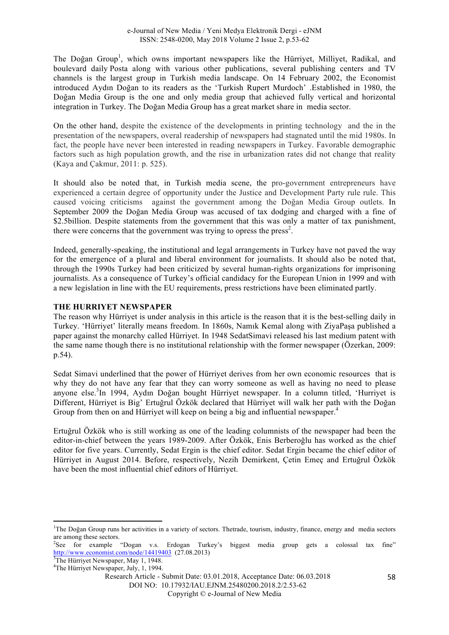The Doğan Group<sup>1</sup>, which owns important newspapers like the Hürriyet, Milliyet, Radikal, and boulevard daily Posta along with various other publications, several publishing centers and TV channels is the largest group in Turkish media landscape. On 14 February 2002, the Economist introduced Aydın Doğan to its readers as the 'Turkish Rupert Murdoch' .Established in 1980, the Doğan Media Group is the one and only media group that achieved fully vertical and horizontal integration in Turkey. The Doğan Media Group has a great market share in media sector.

On the other hand, despite the existence of the developments in printing technology and the in the presentation of the newspapers, overal readership of newspapers had stagnated until the mid 1980s. In fact, the people have never been interested in reading newspapers in Turkey. Favorable demographic factors such as high population growth, and the rise in urbanization rates did not change that reality (Kaya and Çakmur, 2011: p. 525).

It should also be noted that, in Turkish media scene, the pro-government entrepreneurs have experienced a certain degree of opportunity under the Justice and Development Party rule rule. This caused voicing criticisms against the government among the Doğan Media Group outlets. In September 2009 the Doğan Media Group was accused of tax dodging and charged with a fine of \$2.5billion. Despite statements from the government that this was only a matter of tax punishment, there were concerns that the government was trying to opress the press<sup>2</sup>.

Indeed, generally-speaking, the institutional and legal arrangements in Turkey have not paved the way for the emergence of a plural and liberal environment for journalists. It should also be noted that, through the 1990s Turkey had been criticized by several human-rights organizations for imprisoning journalists. As a consequence of Turkey's official candidacy for the European Union in 1999 and with a new legislation in line with the EU requirements, press restrictions have been eliminated partly.

## **THE HURRIYET NEWSPAPER**

The reason why Hürriyet is under analysis in this article is the reason that it is the best-selling daily in Turkey. 'Hürriyet' literally means freedom. In 1860s, Namık Kemal along with ZiyaPaşa published a paper against the monarchy called Hürriyet. In 1948 SedatSimavi released his last medium patent with the same name though there is no institutional relationship with the former newspaper (Özerkan, 2009: p.54).

Sedat Simavi underlined that the power of Hürriyet derives from her own economic resources that is why they do not have any fear that they can worry someone as well as having no need to please anyone else.<sup>3</sup>In 1994, Aydın Doğan bought Hürriyet newspaper. In a column titled, 'Hurriyet is Different, Hürriyet is Big' Ertuğrul Özkök declared that Hürriyet will walk her path with the Doğan Group from then on and Hürriyet will keep on being a big and influential newspaper.<sup>4</sup>

Ertuğrul Özkök who is still working as one of the leading columnists of the newspaper had been the editor-in-chief between the years 1989-2009. After Özkök, Enis Berberoğlu has worked as the chief editor for five years. Currently, Sedat Ergin is the chief editor. Sedat Ergin became the chief editor of Hürriyet in August 2014. Before, respectively, Nezih Demirkent, Çetin Emeç and Ertuğrul Özkök have been the most influential chief editors of Hürriyet.

<u> 1989 - Johann Stein, fransk politik (d. 1989)</u>

DOI NO: 10.17932/IAU.EJNM.25480200.2018.2/2.53-62

<sup>&</sup>lt;sup>1</sup>The Doğan Group runs her activities in a variety of sectors. Thetrade, tourism, industry, finance, energy and media sectors are among these sectors.

<sup>&</sup>lt;sup>2</sup>See for example "Dogan v.s. Erdogan Turkey's biggest media group gets a colossal tax fine" http://www.economist.com/node/14419403 $(27.08.2013)$ 

<sup>&</sup>lt;sup>3</sup>The Hürriyet Newspaper, May 1, 1948.

<sup>4</sup> The Hürriyet Newspaper, July, 1, 1994.

Research Article - Submit Date: 03.01.2018, Acceptance Date: 06.03.2018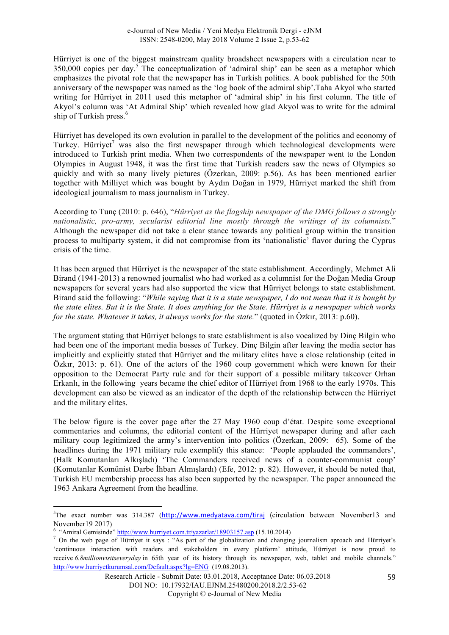Hürriyet is one of the biggest mainstream quality broadsheet newspapers with a circulation near to  $350,000$  copies per day.<sup>5</sup> The conceptualization of 'admiral ship' can be seen as a metaphor which emphasizes the pivotal role that the newspaper has in Turkish politics. A book published for the 50th anniversary of the newspaper was named as the 'log book of the admiral ship'.Taha Akyol who started writing for Hürriyet in 2011 used this metaphor of 'admiral ship' in his first column. The title of Akyol's column was 'At Admiral Ship' which revealed how glad Akyol was to write for the admiral ship of Turkish press. 6

Hürriyet has developed its own evolution in parallel to the development of the politics and economy of Turkey. Hürriyet<sup>7</sup> was also the first newspaper through which technological developments were introduced to Turkish print media. When two correspondents of the newspaper went to the London Olympics in August 1948, it was the first time that Turkish readers saw the news of Olympics so quickly and with so many lively pictures (Özerkan, 2009: p.56). As has been mentioned earlier together with Milliyet which was bought by Aydın Doğan in 1979, Hürriyet marked the shift from ideological journalism to mass journalism in Turkey.

According to Tunç (2010: p. 646), "*Hürriyet as the flagship newspaper of the DMG follows a strongly nationalistic, pro-army, secularist editorial line mostly through the writings of its columnists.*" Although the newspaper did not take a clear stance towards any political group within the transition process to multiparty system, it did not compromise from its 'nationalistic' flavor during the Cyprus crisis of the time.

It has been argued that Hürriyet is the newspaper of the state establishment. Accordingly, Mehmet Ali Birand (1941-2013) a renowned journalist who had worked as a columnist for the Doğan Media Group newspapers for several years had also supported the view that Hürriyet belongs to state establishment. Birand said the following: "*While saying that it is a state newspaper, I do not mean that it is bought by the state elites. But it is the State. It does anything for the State. Hürriyet is a newspaper which works for the state. Whatever it takes, it always works for the state.*" (quoted in Özkır, 2013: p.60).

The argument stating that Hürriyet belongs to state establishment is also vocalized by Dinç Bilgin who had been one of the important media bosses of Turkey. Dinç Bilgin after leaving the media sector has implicitly and explicitly stated that Hürriyet and the military elites have a close relationship (cited in Özkır, 2013: p. 61). One of the actors of the 1960 coup government which were known for their opposition to the Democrat Party rule and for their support of a possible military takeover Orhan Erkanlı, in the following years became the chief editor of Hürriyet from 1968 to the early 1970s. This development can also be viewed as an indicator of the depth of the relationship between the Hürriyet and the military elites.

The below figure is the cover page after the 27 May 1960 coup d'état. Despite some exceptional commentaries and columns, the editorial content of the Hürriyet newspaper during and after each military coup legitimized the army's intervention into politics (Özerkan, 2009: 65). Some of the headlines during the 1971 military rule exemplify this stance: 'People applauded the commanders', (Halk Komutanları Alkışladı) 'The Commanders received news of a counter-communist coup' (Komutanlar Komünist Darbe İhbarı Almışlardı) (Efe, 2012: p. 82). However, it should be noted that, Turkish EU membership process has also been supported by the newspaper. The paper announced the 1963 Ankara Agreement from the headline.

<u> 1989 - Johann Stein, fransk politik (d. 1989)</u>

<sup>&</sup>lt;sup>5</sup>The exact number was 314.387 (http://www.medyatava.com/tiraj (circulation between November13 and November 19 2017)<br>
<sup>6</sup> "Amiral Gemisinde" http://www.hurriyet.com.tr/yazarlar/18903157.asp (15.10.2014)

<sup>&</sup>lt;sup>7</sup> On the web page of Hürriyet it says : "As part of the globalization and changing journalism aproach and Hürriyet's 'continuous interaction with readers and stakeholders in every platform' attitude, Hürriyet is now proud to receive *6.8millionvisitseveryday* in 65th year of its history through its newspaper, web, tablet and mobile channels." http://www.hurriyetkurumsal.com/Default.aspx?lg=ENG (19.08.2013).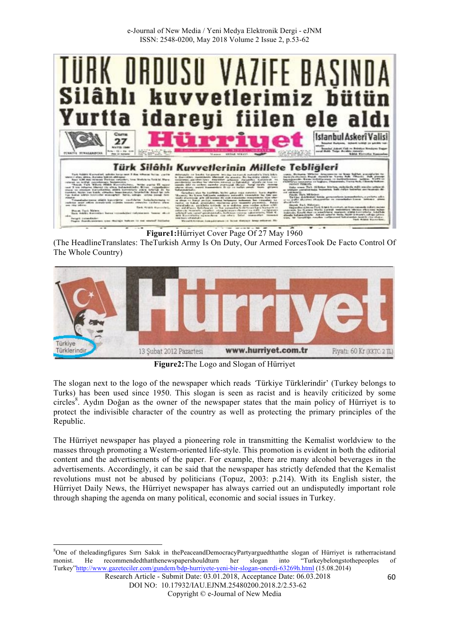

**Figure1:**Hürriyet Cover Page Of 27 May 1960

(The HeadlineTranslates: TheTurkish Army Is On Duty, Our Armed ForcesTook De Facto Control Of The Whole Country)



**Figure2:**The Logo and Slogan of Hürriyet

The slogan next to the logo of the newspaper which reads *'*Türkiye Türklerindir' (Turkey belongs to Turks) has been used since 1950. This slogan is seen as racist and is heavily criticized by some circles<sup>8</sup>. Aydın Doğan as the owner of the newspaper states that the main policy of Hürriyet is to protect the indivisible character of the country as well as protecting the primary principles of the Republic.

The Hürriyet newspaper has played a pioneering role in transmitting the Kemalist worldview to the masses through promoting a Western-oriented life-style. This promotion is evident in both the editorial content and the advertisements of the paper. For example, there are many alcohol beverages in the advertisements. Accordingly, it can be said that the newspaper has strictly defended that the Kemalist revolutions must not be abused by politicians (Topuz, 2003: p.214). With its English sister, the Hürriyet Daily News, the Hürriyet newspaper has always carried out an undisputedly important role through shaping the agenda on many political, economic and social issues in Turkey.

<u> 1989 - Johann Stein, fransk politik (d. 1989)</u>

<sup>&</sup>lt;sup>8</sup>One of theleadingfigures Sırrı Sakık in thePeaceandDemocracyPartyarguedthatthe slogan of Hürriyet is ratherracistand monist. He recommendedthatthenewspapershouldturn her slogan into "Turkeybelongstothepeoples of Turkey"http://www.gazeteciler.com/gundem/bdp-hurriyete-yeni-bir-slogan-onerdi-63269h.html (15.08.2014)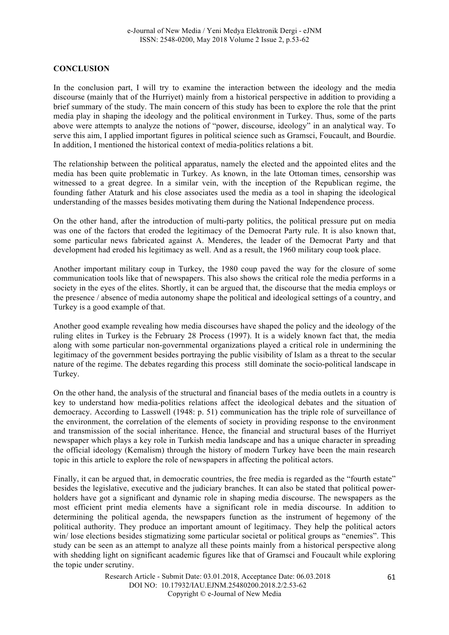## **CONCLUSION**

In the conclusion part, I will try to examine the interaction between the ideology and the media discourse (mainly that of the Hurriyet) mainly from a historical perspective in addition to providing a brief summary of the study. The main concern of this study has been to explore the role that the print media play in shaping the ideology and the political environment in Turkey. Thus, some of the parts above were attempts to analyze the notions of "power, discourse, ideology" in an analytical way. To serve this aim, I applied important figures in political science such as Gramsci, Foucault, and Bourdie. In addition, I mentioned the historical context of media-politics relations a bit.

The relationship between the political apparatus, namely the elected and the appointed elites and the media has been quite problematic in Turkey. As known, in the late Ottoman times, censorship was witnessed to a great degree. In a similar vein, with the inception of the Republican regime, the founding father Ataturk and his close associates used the media as a tool in shaping the ideological understanding of the masses besides motivating them during the National Independence process.

On the other hand, after the introduction of multi-party politics, the political pressure put on media was one of the factors that eroded the legitimacy of the Democrat Party rule. It is also known that, some particular news fabricated against A. Menderes, the leader of the Democrat Party and that development had eroded his legitimacy as well. And as a result, the 1960 military coup took place.

Another important military coup in Turkey, the 1980 coup paved the way for the closure of some communication tools like that of newspapers. This also shows the critical role the media performs in a society in the eyes of the elites. Shortly, it can be argued that, the discourse that the media employs or the presence / absence of media autonomy shape the political and ideological settings of a country, and Turkey is a good example of that.

Another good example revealing how media discourses have shaped the policy and the ideology of the ruling elites in Turkey is the February 28 Process (1997). It is a widely known fact that, the media along with some particular non-governmental organizations played a critical role in undermining the legitimacy of the government besides portraying the public visibility of Islam as a threat to the secular nature of the regime. The debates regarding this process still dominate the socio-political landscape in Turkey.

On the other hand, the analysis of the structural and financial bases of the media outlets in a country is key to understand how media-politics relations affect the ideological debates and the situation of democracy. According to Lasswell (1948: p. 51) communication has the triple role of surveillance of the environment, the correlation of the elements of society in providing response to the environment and transmission of the social inheritance. Hence, the financial and structural bases of the Hurriyet newspaper which plays a key role in Turkish media landscape and has a unique character in spreading the official ideology (Kemalism) through the history of modern Turkey have been the main research topic in this article to explore the role of newspapers in affecting the political actors.

Finally, it can be argued that, in democratic countries, the free media is regarded as the "fourth estate" besides the legislative, executive and the judiciary branches. It can also be stated that political powerholders have got a significant and dynamic role in shaping media discourse. The newspapers as the most efficient print media elements have a significant role in media discourse. In addition to determining the political agenda, the newspapers function as the instrument of hegemony of the political authority. They produce an important amount of legitimacy. They help the political actors win/ lose elections besides stigmatizing some particular societal or political groups as "enemies". This study can be seen as an attempt to analyze all these points mainly from a historical perspective along with shedding light on significant academic figures like that of Gramsci and Foucault while exploring the topic under scrutiny.